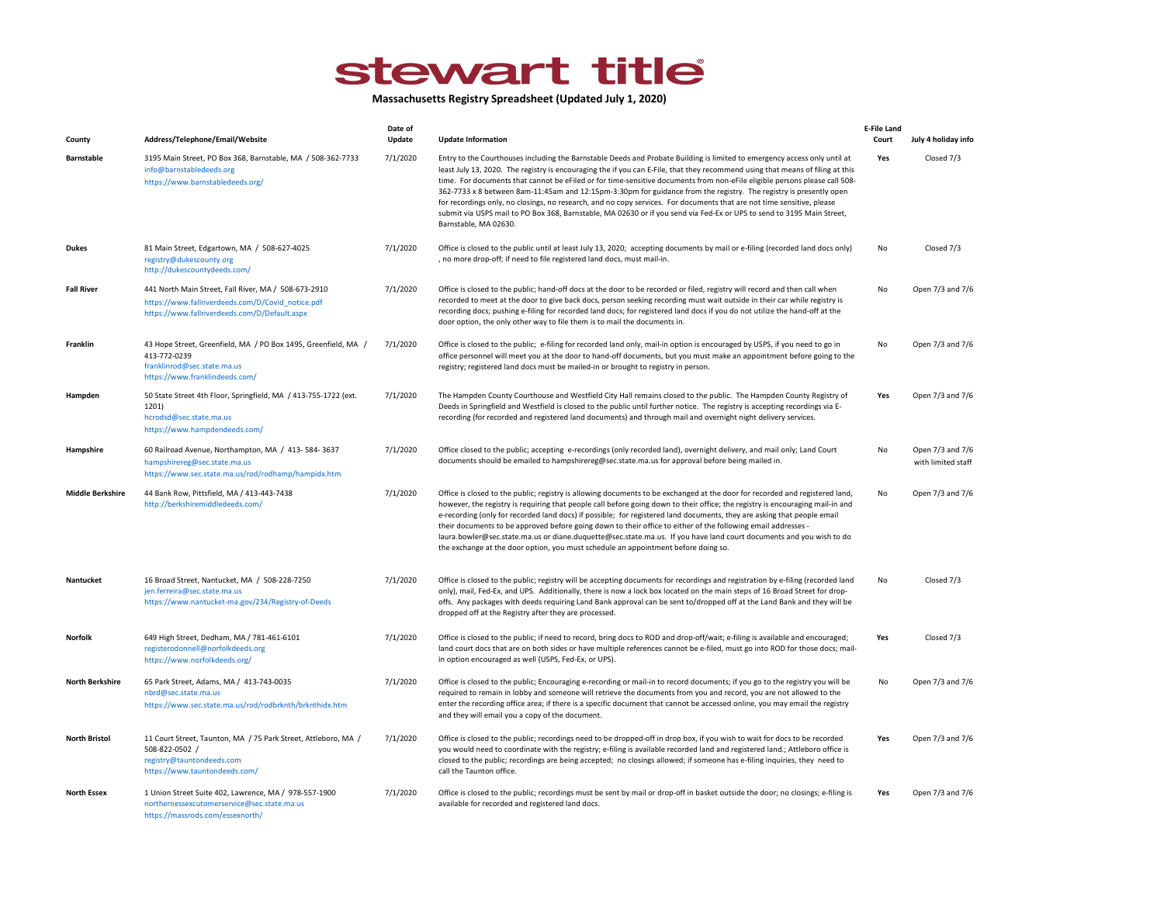## stewart title

Massachusetts Registry Spreadsheet (Updated July 1, 2020)

| County                  | Address/Telephone/Email/Website                                                                                                                            | Date of<br>Update | <b>Update Information</b>                                                                                                                                                                                                                                                                                                                                                                                                                                                                                                                                                                                                                                                                                                                                                                    | <b>E-File Land</b><br>Court | July 4 holiday info                    |
|-------------------------|------------------------------------------------------------------------------------------------------------------------------------------------------------|-------------------|----------------------------------------------------------------------------------------------------------------------------------------------------------------------------------------------------------------------------------------------------------------------------------------------------------------------------------------------------------------------------------------------------------------------------------------------------------------------------------------------------------------------------------------------------------------------------------------------------------------------------------------------------------------------------------------------------------------------------------------------------------------------------------------------|-----------------------------|----------------------------------------|
| <b>Barnstable</b>       | 3195 Main Street, PO Box 368, Barnstable, MA / 508-362-7733<br>info@barnstabledeeds.org<br>https://www.barnstabledeeds.org/                                | 7/1/2020          | Entry to the Courthouses including the Barnstable Deeds and Probate Building is limited to emergency access only until at<br>least July 13, 2020. The registry is encouraging the if you can E-File, that they recommend using that means of filing at this<br>time. For documents that cannot be eFiled or for time-sensitive documents from non-eFile eligible persons please call 508-<br>362-7733 x 8 between 8am-11:45am and 12:15pm-3:30pm for guidance from the registry. The registry is presently open<br>for recordings only, no closings, no research, and no copy services. For documents that are not time sensitive, please<br>submit via USPS mail to PO Box 368, Barnstable, MA 02630 or if you send via Fed-Ex or UPS to send to 3195 Main Street,<br>Barnstable, MA 02630. | Yes                         | Closed 7/3                             |
| <b>Dukes</b>            | 81 Main Street, Edgartown, MA / 508-627-4025<br>registry@dukescounty.org<br>http://dukescountydeeds.com/                                                   | 7/1/2020          | Office is closed to the public until at least July 13, 2020; accepting documents by mail or e-filing (recorded land docs only)<br>, no more drop-off; if need to file registered land docs, must mail-in.                                                                                                                                                                                                                                                                                                                                                                                                                                                                                                                                                                                    | No                          | Closed 7/3                             |
| <b>Fall River</b>       | 441 North Main Street, Fall River, MA / 508-673-2910<br>https://www.fallriverdeeds.com/D/Covid_notice.pdf<br>https://www.fallriverdeeds.com/D/Default.aspx | 7/1/2020          | Office is closed to the public; hand-off docs at the door to be recorded or filed, registry will record and then call when<br>recorded to meet at the door to give back docs, person seeking recording must wait outside in their car while registry is<br>recording docs; pushing e-filing for recorded land docs; for registered land docs if you do not utilize the hand-off at the<br>door option, the only other way to file them is to mail the documents in.                                                                                                                                                                                                                                                                                                                          | No                          | Open 7/3 and 7/6                       |
| Franklin                | 43 Hope Street, Greenfield, MA / PO Box 1495, Greenfield, MA /<br>413-772-0239<br>franklinrod@sec.state.ma.us<br>https://www.franklindeeds.com/            | 7/1/2020          | Office is closed to the public; e-filing for recorded land only, mail-in option is encouraged by USPS, if you need to go in<br>office personnel will meet you at the door to hand-off documents, but you must make an appointment before going to the<br>registry; registered land docs must be mailed-in or brought to registry in person.                                                                                                                                                                                                                                                                                                                                                                                                                                                  | No                          | Open 7/3 and 7/6                       |
| Hampden                 | 50 State Street 4th Floor, Springfield, MA / 413-755-1722 (ext.<br>1201)<br>hcrodsd@sec.state.ma.us<br>https://www.hampdendeeds.com/                       | 7/1/2020          | The Hampden County Courthouse and Westfield City Hall remains closed to the public. The Hampden County Registry of<br>Deeds in Springfield and Westfield is closed to the public until further notice. The registry is accepting recordings via E-<br>recording (for recorded and registered land documents) and through mail and overnight night delivery services.                                                                                                                                                                                                                                                                                                                                                                                                                         | Yes                         | Open 7/3 and 7/6                       |
| Hampshire               | 60 Railroad Avenue, Northampton, MA / 413-584-3637<br>hampshirereg@sec.state.ma.us<br>https://www.sec.state.ma.us/rod/rodhamp/hampidx.htm                  | 7/1/2020          | Office closed to the public; accepting e-recordings (only recorded land), overnight delivery, and mail only; Land Court<br>documents should be emailed to hampshirereg@sec.state.ma.us for approval before being mailed in.                                                                                                                                                                                                                                                                                                                                                                                                                                                                                                                                                                  | No                          | Open 7/3 and 7/6<br>with limited staff |
| <b>Middle Berkshire</b> | 44 Bank Row, Pittsfield, MA / 413-443-7438<br>http://berkshiremiddledeeds.com/                                                                             | 7/1/2020          | Office is closed to the public; registry is allowing documents to be exchanged at the door for recorded and registered land,<br>however, the registry is requiring that people call before going down to their office; the registry is encouraging mail-in and<br>e-recording (only for recorded land docs) if possible; for registered land documents, they are asking that people email<br>their documents to be approved before going down to their office to either of the following email addresses -<br>laura.bowler@sec.state.ma.us or diane.duquette@sec.state.ma.us. If you have land court documents and you wish to do<br>the exchange at the door option, you must schedule an appointment before doing so.                                                                      | No                          | Open 7/3 and 7/6                       |
| Nantucket               | 16 Broad Street, Nantucket, MA / 508-228-7250<br>jen.ferreira@sec.state.ma.us<br>https://www.nantucket-ma.gov/234/Registry-of-Deeds                        | 7/1/2020          | Office is closed to the public; registry will be accepting documents for recordings and registration by e-filing (recorded land<br>only), mail, Fed-Ex, and UPS. Additionally, there is now a lock box located on the main steps of 16 Broad Street for drop-<br>offs. Any packages with deeds requiring Land Bank approval can be sent to/dropped off at the Land Bank and they will be<br>dropped off at the Registry after they are processed.                                                                                                                                                                                                                                                                                                                                            | No                          | Closed 7/3                             |
| <b>Norfolk</b>          | 649 High Street, Dedham, MA / 781-461-6101<br>registerodonnell@norfolkdeeds.org<br>https://www.norfolkdeeds.org/                                           | 7/1/2020          | Office is closed to the public; if need to record, bring docs to ROD and drop-off/wait; e-filing is available and encouraged;<br>land court docs that are on both sides or have multiple references cannot be e-filed, must go into ROD for those docs; mail-<br>in option encouraged as well (USPS, Fed-Ex, or UPS).                                                                                                                                                                                                                                                                                                                                                                                                                                                                        | Yes                         | Closed 7/3                             |
| <b>North Berkshire</b>  | 65 Park Street, Adams, MA / 413-743-0035<br>nbrd@sec.state.ma.us<br>https://www.sec.state.ma.us/rod/rodbrknth/brknthidx.htm                                | 7/1/2020          | Office is closed to the public; Encouraging e-recording or mail-in to record documents; if you go to the registry you will be<br>required to remain in lobby and someone will retrieve the documents from you and record, you are not allowed to the<br>enter the recording office area; if there is a specific document that cannot be accessed online, you may email the registry<br>and they will email you a copy of the document.                                                                                                                                                                                                                                                                                                                                                       | No                          | Open 7/3 and 7/6                       |
| <b>North Bristol</b>    | 11 Court Street, Taunton, MA / 75 Park Street, Attleboro, MA /<br>508-822-0502 /<br>registry@tauntondeeds.com<br>https://www.tauntondeeds.com/             | 7/1/2020          | Office is closed to the public; recordings need to be dropped-off in drop box, if you wish to wait for docs to be recorded<br>you would need to coordinate with the registry; e-filing is available recorded land and registered land.; Attleboro office is<br>closed to the public; recordings are being accepted; no closings allowed; if someone has e-filing inquiries, they need to<br>call the Taunton office.                                                                                                                                                                                                                                                                                                                                                                         | Yes                         | Open 7/3 and 7/6                       |
| <b>North Essex</b>      | 1 Union Street Suite 402, Lawrence, MA / 978-557-1900<br>northernessexcutomerservice@sec.state.ma.us<br>https://massrods.com/essexnorth/                   | 7/1/2020          | Office is closed to the public; recordings must be sent by mail or drop-off in basket outside the door; no closings; e-filing is<br>available for recorded and registered land docs.                                                                                                                                                                                                                                                                                                                                                                                                                                                                                                                                                                                                         | Yes                         | Open 7/3 and 7/6                       |